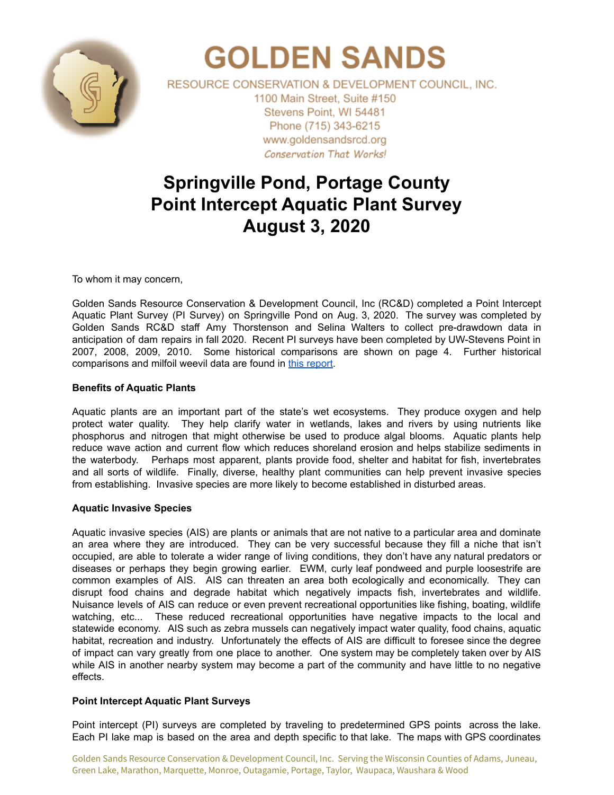

# **GOLDEN SANDS**

RESOURCE CONSERVATION & DEVELOPMENT COUNCIL, INC. 1100 Main Street, Suite #150 Stevens Point, WI 54481 Phone (715) 343-6215 www.goldensandsrcd.org **Conservation That Works!** 

# **Springville Pond, Portage County Point Intercept Aquatic Plant Survey August 3, 2020**

To whom it may concern,

Golden Sands Resource Conservation & Development Council, Inc (RC&D) completed a Point Intercept Aquatic Plant Survey (PI Survey) on Springville Pond on Aug. 3, 2020. The survey was completed by Golden Sands RC&D staff Amy Thorstenson and Selina Walters to collect pre-drawdown data in anticipation of dam repairs in fall 2020. Recent PI surveys have been completed by UW-Stevens Point in 2007, 2008, 2009, 2010. Some historical comparisons are shown on page 4. Further historical comparisons and milfoil weevil data are found in this [report](https://docs.google.com/document/d/1BDLMJFyZl9UpvGZlr49LMzu7okyvujJgtLHPP-0Bfn4/edit?usp=sharing).

## **Benefits of Aquatic Plants**

Aquatic plants are an important part of the state's wet ecosystems. They produce oxygen and help protect water quality. They help clarify water in wetlands, lakes and rivers by using nutrients like phosphorus and nitrogen that might otherwise be used to produce algal blooms. Aquatic plants help reduce wave action and current flow which reduces shoreland erosion and helps stabilize sediments in the waterbody. Perhaps most apparent, plants provide food, shelter and habitat for fish, invertebrates and all sorts of wildlife. Finally, diverse, healthy plant communities can help prevent invasive species from establishing. Invasive species are more likely to become established in disturbed areas.

## **Aquatic Invasive Species**

Aquatic invasive species (AIS) are plants or animals that are not native to a particular area and dominate an area where they are introduced. They can be very successful because they fill a niche that isn't occupied, are able to tolerate a wider range of living conditions, they don't have any natural predators or diseases or perhaps they begin growing earlier. EWM, curly leaf pondweed and purple loosestrife are common examples of AIS. AIS can threaten an area both ecologically and economically. They can disrupt food chains and degrade habitat which negatively impacts fish, invertebrates and wildlife. Nuisance levels of AIS can reduce or even prevent recreational opportunities like fishing, boating, wildlife watching, etc... These reduced recreational opportunities have negative impacts to the local and statewide economy. AIS such as zebra mussels can negatively impact water quality, food chains, aquatic habitat, recreation and industry. Unfortunately the effects of AIS are difficult to foresee since the degree of impact can vary greatly from one place to another. One system may be completely taken over by AIS while AIS in another nearby system may become a part of the community and have little to no negative effects.

## **Point Intercept Aquatic Plant Surveys**

Point intercept (PI) surveys are completed by traveling to predetermined GPS points across the lake. Each PI lake map is based on the area and depth specific to that lake. The maps with GPS coordinates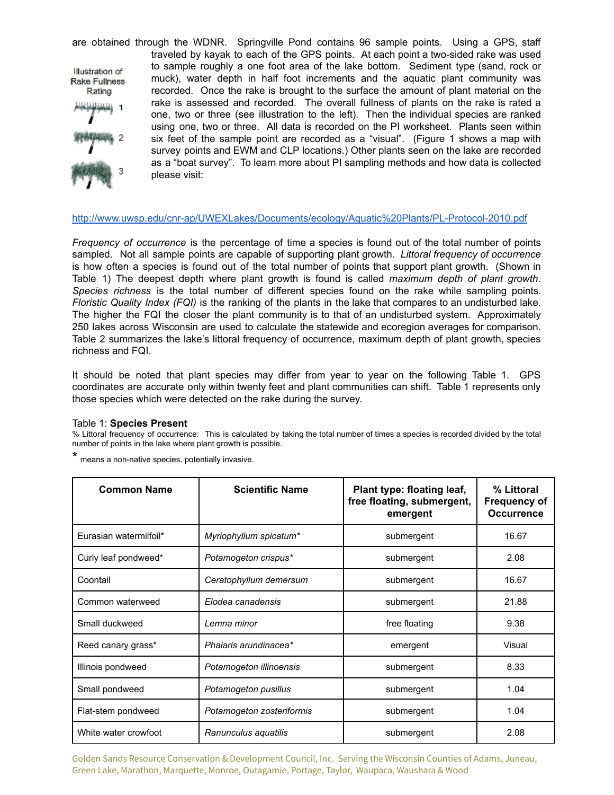are obtained through the WDNR. Springville Pond contains 96 sample points. Using a GPS, staff traveled by kayak to each of the GPS points. At each point a two-sided rake was used to sample roughly a one foot area of the lake bottom. Sediment type (sand, rock or Illustration of muck), water depth in half foot increments and the aquatic plant community was Rake Fullness recorded. Once the rake is brought to the surface the amount of plant material on the Rating rake is assessed and recorded. The overall fullness of plants on the rake is rated a one, two or three (see illustration to the left). Then the individual species are ranked using one, two or three. All data is recorded on the PI worksheet. Plants seen within six feet of the sample point are recorded as a "visual". (Figure 1 shows a map with survey points and EWM and CLP locations.) Other plants seen on the lake are recorded as a "boat survey". To learn more about PI sampling methods and how data is collected please visit:

#### <http://www.uwsp.edu/cnr-ap/UWEXLakes/Documents/ecology/Aquatic%20Plants/PL-Protocol-2010.pdf>

*Frequency of occurrence* is the percentage of time a species is found out of the total number of points sampled. Not all sample points are capable of supporting plant growth. *Littoral frequency of occurrence* is how often a species is found out of the total number of points that support plant growth. (Shown in Table 1) The deepest depth where plant growth is found is called *maximum depth of plant growth*. *Species richness* is the total number of different species found on the rake while sampling points. *Floristic Quality Index (FQI)* is the ranking of the plants in the lake that compares to an undisturbed lake. The higher the FQI the closer the plant community is to that of an undisturbed system. Approximately 250 lakes across Wisconsin are used to calculate the statewide and ecoregion averages for comparison. Table 2 summarizes the lake's littoral frequency of occurrence, maximum depth of plant growth, species richness and FQI.

It should be noted that plant species may differ from year to year on the following Table 1. GPS coordinates are accurate only within twenty feet and plant communities can shift. Table 1 represents only those species which were detected on the rake during the survey.

#### Table 1: **Species Present**

% Littoral frequency of occurrence: This is calculated by taking the total number of times a species is recorded divided by the total number of points in the lake where plant growth is possible.

| * | means a non-native species, potentially invasive. |  |
|---|---------------------------------------------------|--|
|   |                                                   |  |

| <b>Common Name</b>     | <b>Scientific Name</b>    | Plant type: floating leaf,<br>free floating, submergent,<br>emergent | % Littoral<br><b>Frequency of</b><br><b>Occurrence</b> |
|------------------------|---------------------------|----------------------------------------------------------------------|--------------------------------------------------------|
| Eurasian watermilfoil* | Myriophyllum spicatum*    | submergent                                                           | 16.67                                                  |
| Curly leaf pondweed*   | Potamogeton crispus*      | submergent                                                           | 2.08                                                   |
| Coontail               | Ceratophyllum demersum    | submergent                                                           | 16.67                                                  |
| Common waterweed       | Elodea canadensis         | submergent                                                           | 21.88                                                  |
| Small duckweed         | Lemna minor               | free floating                                                        | 9.38                                                   |
| Reed canary grass*     | Phalaris arundinacea*     | emergent                                                             | Visual                                                 |
| Illinois pondweed      | Potamogeton illinoensis   | submergent                                                           | 8.33                                                   |
| Small pondweed         | Potamogeton pusillus      | submergent                                                           | 1.04                                                   |
| Flat-stem pondweed     | Potamogeton zosteriformis | submergent                                                           | 1.04                                                   |
| White water crowfoot   | Ranunculus aquatilis      | submergent                                                           | 2.08                                                   |

Golden Sands Resource Conservation & Development Council, Inc. Serving the Wisconsin Counties of Adams, Juneau, Green Lake, Marathon, Marquette, Monroe, Outagamie, Portage, Taylor, Waupaca, Waushara & Wood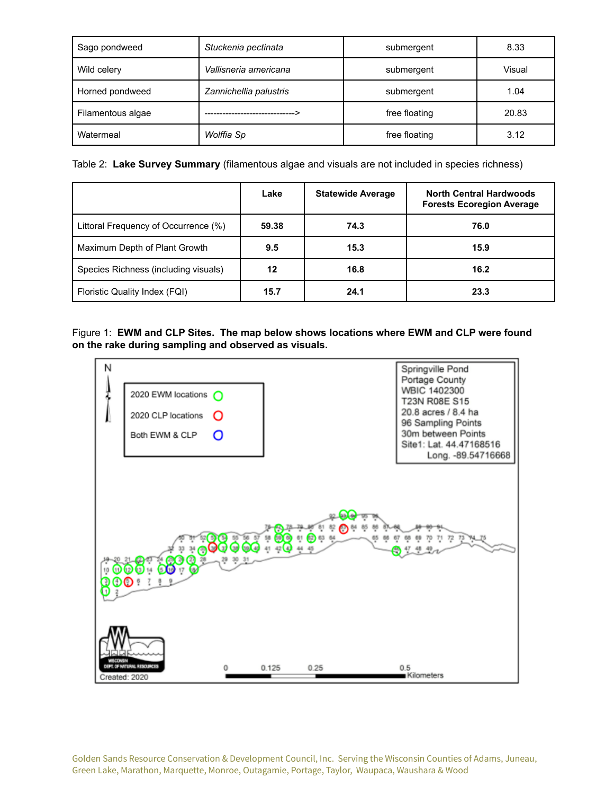| Sago pondweed                        | Stuckenia pectinata    | submergent    | 8.33   |  |
|--------------------------------------|------------------------|---------------|--------|--|
| Vallisneria americana<br>Wild celery |                        | submergent    | Visual |  |
| Horned pondweed                      | Zannichellia palustris | submergent    | 1.04   |  |
| Filamentous algae                    |                        | free floating | 20.83  |  |
| Watermeal                            | Wolffia Sp             | free floating | 3.12   |  |

Table 2: **Lake Survey Summary** (filamentous algae and visuals are not included in species richness)

|                                      | Lake  | <b>Statewide Average</b> | <b>North Central Hardwoods</b><br><b>Forests Ecoregion Average</b> |
|--------------------------------------|-------|--------------------------|--------------------------------------------------------------------|
| Littoral Frequency of Occurrence (%) | 59.38 | 74.3                     | 76.0                                                               |
| Maximum Depth of Plant Growth        | 9.5   | 15.3                     | 15.9                                                               |
| Species Richness (including visuals) | 12    | 16.8                     | 16.2                                                               |
| Floristic Quality Index (FQI)        | 15.7  | 24.1                     | 23.3                                                               |

Figure 1: **EWM and CLP Sites. The map below shows locations where EWM and CLP were found on the rake during sampling and observed as visuals.**



Golden Sands Resource Conservation & Development Council, Inc. Serving the Wisconsin Counties of Adams, Juneau, Green Lake, Marathon, Marquette, Monroe, Outagamie, Portage, Taylor, Waupaca, Waushara & Wood